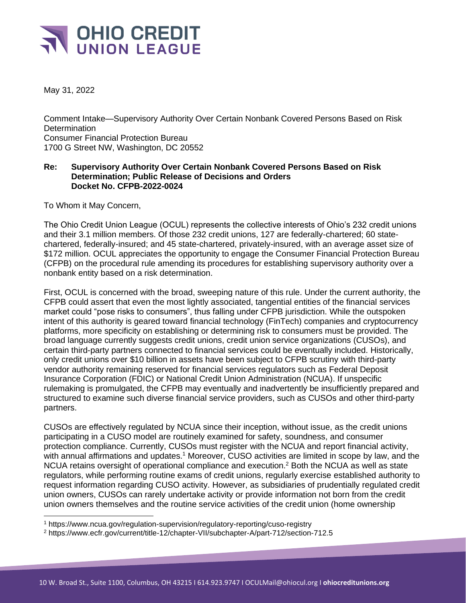

May 31, 2022

Comment Intake—Supervisory Authority Over Certain Nonbank Covered Persons Based on Risk **Determination** Consumer Financial Protection Bureau 1700 G Street NW, Washington, DC 20552

## **Re: Supervisory Authority Over Certain Nonbank Covered Persons Based on Risk Determination; Public Release of Decisions and Orders Docket No. CFPB-2022-0024**

To Whom it May Concern,

The Ohio Credit Union League (OCUL) represents the collective interests of Ohio's 232 credit unions and their 3.1 million members. Of those 232 credit unions, 127 are federally-chartered; 60 statechartered, federally-insured; and 45 state-chartered, privately-insured, with an average asset size of \$172 million. OCUL appreciates the opportunity to engage the Consumer Financial Protection Bureau (CFPB) on the procedural rule amending its procedures for establishing supervisory authority over a nonbank entity based on a risk determination.

First, OCUL is concerned with the broad, sweeping nature of this rule. Under the current authority, the CFPB could assert that even the most lightly associated, tangential entities of the financial services market could "pose risks to consumers", thus falling under CFPB jurisdiction. While the outspoken intent of this authority is geared toward financial technology (FinTech) companies and cryptocurrency platforms, more specificity on establishing or determining risk to consumers must be provided. The broad language currently suggests credit unions, credit union service organizations (CUSOs), and certain third-party partners connected to financial services could be eventually included. Historically, only credit unions over \$10 billion in assets have been subject to CFPB scrutiny with third-party vendor authority remaining reserved for financial services regulators such as Federal Deposit Insurance Corporation (FDIC) or National Credit Union Administration (NCUA). If unspecific rulemaking is promulgated, the CFPB may eventually and inadvertently be insufficiently prepared and structured to examine such diverse financial service providers, such as CUSOs and other third-party partners.

CUSOs are effectively regulated by NCUA since their inception, without issue, as the credit unions participating in a CUSO model are routinely examined for safety, soundness, and consumer protection compliance. Currently, CUSOs must register with the NCUA and report financial activity, with annual affirmations and updates.<sup>1</sup> Moreover, CUSO activities are limited in scope by law, and the NCUA retains oversight of operational compliance and execution.<sup>2</sup> Both the NCUA as well as state regulators, while performing routine exams of credit unions, regularly exercise established authority to request information regarding CUSO activity. However, as subsidiaries of prudentially regulated credit union owners, CUSOs can rarely undertake activity or provide information not born from the credit union owners themselves and the routine service activities of the credit union (home ownership

<sup>1</sup> https://www.ncua.gov/regulation-supervision/regulatory-reporting/cuso-registry

<sup>2</sup> https://www.ecfr.gov/current/title-12/chapter-VII/subchapter-A/part-712/section-712.5